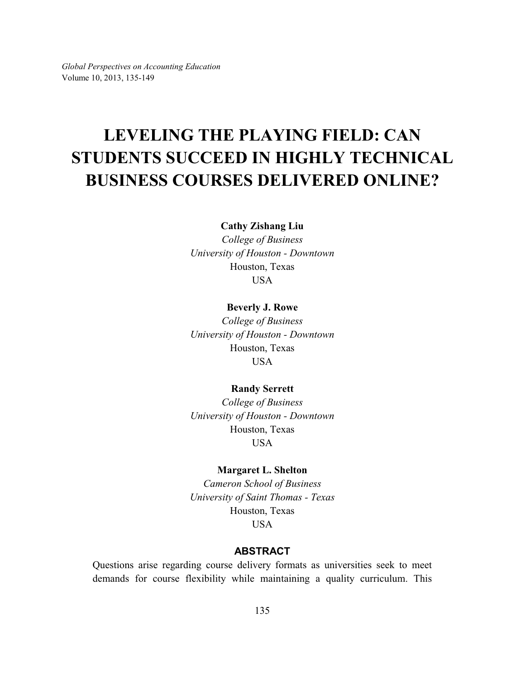*Global Perspectives on Accounting Education* Volume 10, 2013, 135-149

# **LEVELING THE PLAYING FIELD: CAN STUDENTS SUCCEED IN HIGHLY TECHNICAL BUSINESS COURSES DELIVERED ONLINE?**

**Cathy Zishang Liu**

*College of Business University of Houston - Downtown* Houston, Texas USA

#### **Beverly J. Rowe**

*College of Business University of Houston - Downtown* Houston, Texas USA

#### **Randy Serrett**

*College of Business University of Houston - Downtown* Houston, Texas USA

#### **Margaret L. Shelton**

*Cameron School of Business University of Saint Thomas - Texas* Houston, Texas **USA** 

# **ABSTRACT**

Questions arise regarding course delivery formats as universities seek to meet demands for course flexibility while maintaining a quality curriculum. This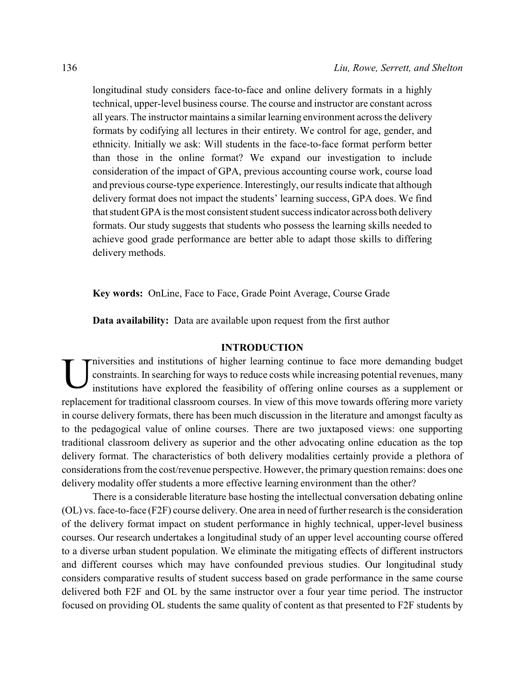longitudinal study considers face-to-face and online delivery formats in a highly technical, upper-level business course. The course and instructor are constant across all years. The instructor maintains a similar learning environment across the delivery formats by codifying all lectures in their entirety. We control for age, gender, and ethnicity. Initially we ask: Will students in the face-to-face format perform better than those in the online format? We expand our investigation to include consideration of the impact of GPA, previous accounting course work, course load and previous course-type experience. Interestingly, our results indicate that although delivery format does not impact the students' learning success, GPA does. We find that student GPA is the most consistent student success indicator across both delivery formats. Our study suggests that students who possess the learning skills needed to achieve good grade performance are better able to adapt those skills to differing delivery methods.

**Key words:** OnLine, Face to Face, Grade Point Average, Course Grade

**Data availability:** Data are available upon request from the first author

#### **INTRODUCTION**

U niversities and institutions of higher learning continue to face more demanding budget constraints. In searching for ways to reduce costs while increasing potential revenues, many institutions have explored the feasibility of offering online courses as a supplement or replacement for traditional classroom courses. In view of this move towards offering more variety in course delivery formats, there has been much discussion in the literature and amongst faculty as to the pedagogical value of online courses. There are two juxtaposed views: one supporting traditional classroom delivery as superior and the other advocating online education as the top delivery format. The characteristics of both delivery modalities certainly provide a plethora of considerations from the cost/revenue perspective. However, the primary question remains: does one delivery modality offer students a more effective learning environment than the other?

There is a considerable literature base hosting the intellectual conversation debating online (OL) vs. face-to-face (F2F) course delivery. One area in need of further research is the consideration of the delivery format impact on student performance in highly technical, upper-level business courses. Our research undertakes a longitudinal study of an upper level accounting course offered to a diverse urban student population. We eliminate the mitigating effects of different instructors and different courses which may have confounded previous studies. Our longitudinal study considers comparative results of student success based on grade performance in the same course delivered both F2F and OL by the same instructor over a four year time period. The instructor focused on providing OL students the same quality of content as that presented to F2F students by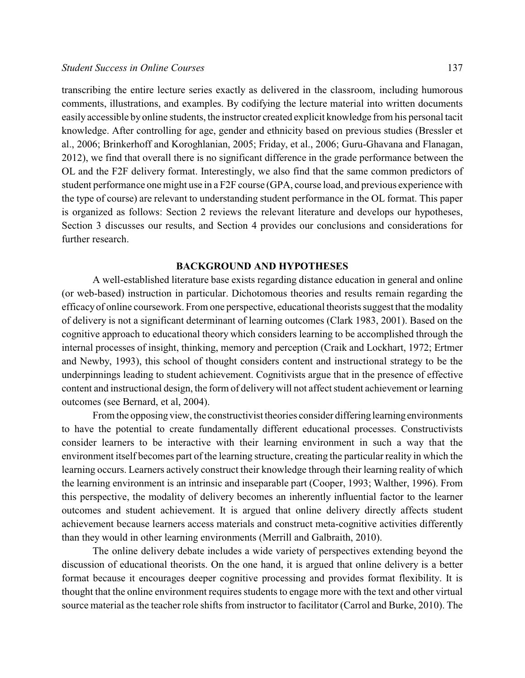transcribing the entire lecture series exactly as delivered in the classroom, including humorous comments, illustrations, and examples. By codifying the lecture material into written documents easily accessible by online students, the instructor created explicit knowledge from his personal tacit knowledge. After controlling for age, gender and ethnicity based on previous studies (Bressler et al., 2006; Brinkerhoff and Koroghlanian, 2005; Friday, et al., 2006; Guru-Ghavana and Flanagan, 2012), we find that overall there is no significant difference in the grade performance between the OL and the F2F delivery format. Interestingly, we also find that the same common predictors of student performance one might use in a F2F course (GPA, course load, and previous experience with the type of course) are relevant to understanding student performance in the OL format. This paper is organized as follows: Section 2 reviews the relevant literature and develops our hypotheses, Section 3 discusses our results, and Section 4 provides our conclusions and considerations for further research.

#### **BACKGROUND AND HYPOTHESES**

A well-established literature base exists regarding distance education in general and online (or web-based) instruction in particular. Dichotomous theories and results remain regarding the efficacyof online coursework. From one perspective, educational theorists suggest that the modality of delivery is not a significant determinant of learning outcomes (Clark 1983, 2001). Based on the cognitive approach to educational theory which considers learning to be accomplished through the internal processes of insight, thinking, memory and perception (Craik and Lockhart, 1972; Ertmer and Newby, 1993), this school of thought considers content and instructional strategy to be the underpinnings leading to student achievement. Cognitivists argue that in the presence of effective content and instructional design, the form of deliverywill not affect student achievement or learning outcomes (see Bernard, et al, 2004).

From the opposing view, the constructivist theories consider differing learning environments to have the potential to create fundamentally different educational processes. Constructivists consider learners to be interactive with their learning environment in such a way that the environment itself becomes part of the learning structure, creating the particular reality in which the learning occurs. Learners actively construct their knowledge through their learning reality of which the learning environment is an intrinsic and inseparable part (Cooper, 1993; Walther, 1996). From this perspective, the modality of delivery becomes an inherently influential factor to the learner outcomes and student achievement. It is argued that online delivery directly affects student achievement because learners access materials and construct meta-cognitive activities differently than they would in other learning environments (Merrill and Galbraith, 2010).

The online delivery debate includes a wide variety of perspectives extending beyond the discussion of educational theorists. On the one hand, it is argued that online delivery is a better format because it encourages deeper cognitive processing and provides format flexibility. It is thought that the online environment requires students to engage more with the text and other virtual source material as the teacher role shifts from instructor to facilitator (Carrol and Burke, 2010). The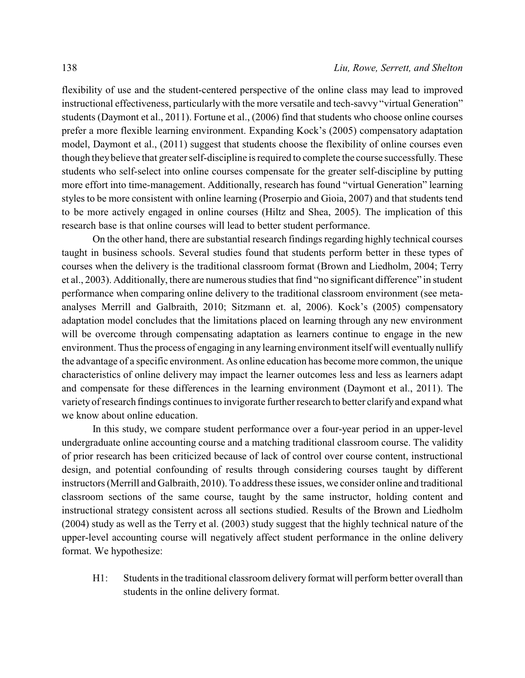flexibility of use and the student-centered perspective of the online class may lead to improved instructional effectiveness, particularly with the more versatile and tech-savvy "virtual Generation" students (Daymont et al., 2011). Fortune et al., (2006) find that students who choose online courses prefer a more flexible learning environment. Expanding Kock's (2005) compensatory adaptation model, Daymont et al., (2011) suggest that students choose the flexibility of online courses even though theybelieve that greater self-discipline is required to complete the course successfully. These students who self-select into online courses compensate for the greater self-discipline by putting more effort into time-management. Additionally, research has found "virtual Generation" learning styles to be more consistent with online learning (Proserpio and Gioia, 2007) and that students tend to be more actively engaged in online courses (Hiltz and Shea, 2005). The implication of this research base is that online courses will lead to better student performance.

On the other hand, there are substantial research findings regarding highly technical courses taught in business schools. Several studies found that students perform better in these types of courses when the delivery is the traditional classroom format (Brown and Liedholm, 2004; Terry et al., 2003). Additionally, there are numerous studies that find "no significant difference" in student performance when comparing online delivery to the traditional classroom environment (see metaanalyses Merrill and Galbraith, 2010; Sitzmann et. al, 2006). Kock's (2005) compensatory adaptation model concludes that the limitations placed on learning through any new environment will be overcome through compensating adaptation as learners continue to engage in the new environment. Thus the process of engaging in any learning environment itself will eventually nullify the advantage of a specific environment. As online education has become more common, the unique characteristics of online delivery may impact the learner outcomes less and less as learners adapt and compensate for these differences in the learning environment (Daymont et al., 2011). The varietyof research findings continues to invigorate further research to better clarifyand expand what we know about online education.

In this study, we compare student performance over a four-year period in an upper-level undergraduate online accounting course and a matching traditional classroom course. The validity of prior research has been criticized because of lack of control over course content, instructional design, and potential confounding of results through considering courses taught by different instructors (Merrill and Galbraith, 2010). To address these issues, we consider online and traditional classroom sections of the same course, taught by the same instructor, holding content and instructional strategy consistent across all sections studied. Results of the Brown and Liedholm (2004) study as well as the Terry et al. (2003) study suggest that the highly technical nature of the upper-level accounting course will negatively affect student performance in the online delivery format. We hypothesize:

H1: Students in the traditional classroom delivery format will perform better overall than students in the online delivery format.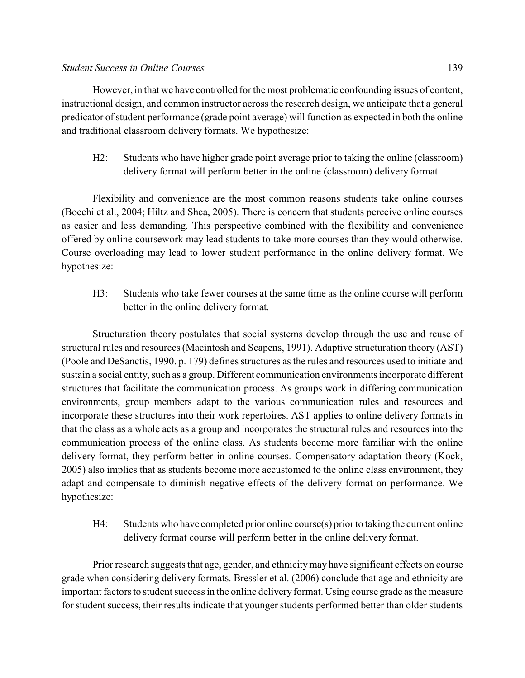However, in that we have controlled for the most problematic confounding issues of content, instructional design, and common instructor across the research design, we anticipate that a general predicator of student performance (grade point average) will function as expected in both the online and traditional classroom delivery formats. We hypothesize:

H2: Students who have higher grade point average prior to taking the online (classroom) delivery format will perform better in the online (classroom) delivery format.

Flexibility and convenience are the most common reasons students take online courses (Bocchi et al., 2004; Hiltz and Shea, 2005). There is concern that students perceive online courses as easier and less demanding. This perspective combined with the flexibility and convenience offered by online coursework may lead students to take more courses than they would otherwise. Course overloading may lead to lower student performance in the online delivery format. We hypothesize:

H3: Students who take fewer courses at the same time as the online course will perform better in the online delivery format.

Structuration theory postulates that social systems develop through the use and reuse of structural rules and resources (Macintosh and Scapens, 1991). Adaptive structuration theory (AST) (Poole and DeSanctis, 1990. p. 179) defines structures as the rules and resources used to initiate and sustain a social entity, such as a group. Different communication environments incorporate different structures that facilitate the communication process. As groups work in differing communication environments, group members adapt to the various communication rules and resources and incorporate these structures into their work repertoires. AST applies to online delivery formats in that the class as a whole acts as a group and incorporates the structural rules and resources into the communication process of the online class. As students become more familiar with the online delivery format, they perform better in online courses. Compensatory adaptation theory (Kock, 2005) also implies that as students become more accustomed to the online class environment, they adapt and compensate to diminish negative effects of the delivery format on performance. We hypothesize:

H4: Students who have completed prior online course(s) prior to taking the current online delivery format course will perform better in the online delivery format.

Prior research suggests that age, gender, and ethnicitymay have significant effects on course grade when considering delivery formats. Bressler et al. (2006) conclude that age and ethnicity are important factors to student success in the online delivery format. Using course grade as the measure for student success, their results indicate that younger students performed better than older students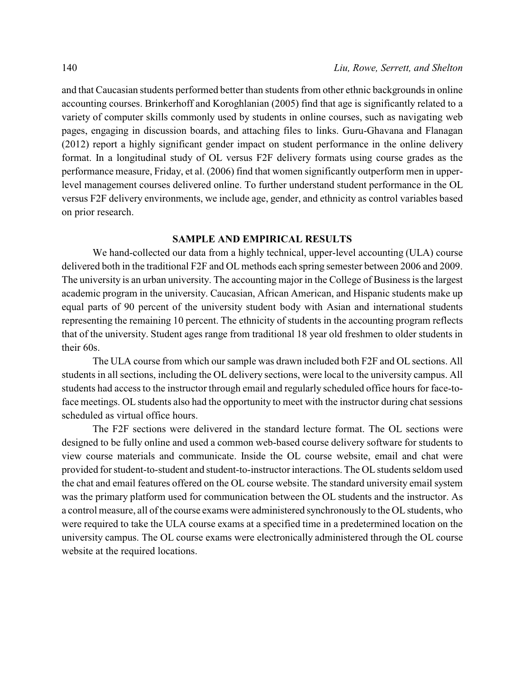and that Caucasian students performed better than students from other ethnic backgrounds in online accounting courses. Brinkerhoff and Koroghlanian (2005) find that age is significantly related to a variety of computer skills commonly used by students in online courses, such as navigating web pages, engaging in discussion boards, and attaching files to links. Guru-Ghavana and Flanagan (2012) report a highly significant gender impact on student performance in the online delivery format. In a longitudinal study of OL versus F2F delivery formats using course grades as the performance measure, Friday, et al. (2006) find that women significantly outperform men in upperlevel management courses delivered online. To further understand student performance in the OL versus F2F delivery environments, we include age, gender, and ethnicity as control variables based on prior research.

#### **SAMPLE AND EMPIRICAL RESULTS**

We hand-collected our data from a highly technical, upper-level accounting (ULA) course delivered both in the traditional F2F and OL methods each spring semester between 2006 and 2009. The university is an urban university. The accounting major in the College of Business is the largest academic program in the university. Caucasian, African American, and Hispanic students make up equal parts of 90 percent of the university student body with Asian and international students representing the remaining 10 percent. The ethnicity of students in the accounting program reflects that of the university. Student ages range from traditional 18 year old freshmen to older students in their 60s.

The ULA course from which our sample was drawn included both F2F and OL sections. All students in all sections, including the OL delivery sections, were local to the university campus. All students had access to the instructor through email and regularly scheduled office hours for face-toface meetings. OL students also had the opportunity to meet with the instructor during chat sessions scheduled as virtual office hours.

The F2F sections were delivered in the standard lecture format. The OL sections were designed to be fully online and used a common web-based course delivery software for students to view course materials and communicate. Inside the OL course website, email and chat were provided for student-to-student and student-to-instructor interactions. The OLstudents seldom used the chat and email features offered on the OL course website. The standard university email system was the primary platform used for communication between the OL students and the instructor. As a control measure, all of the course exams were administered synchronously to the OLstudents, who were required to take the ULA course exams at a specified time in a predetermined location on the university campus. The OL course exams were electronically administered through the OL course website at the required locations.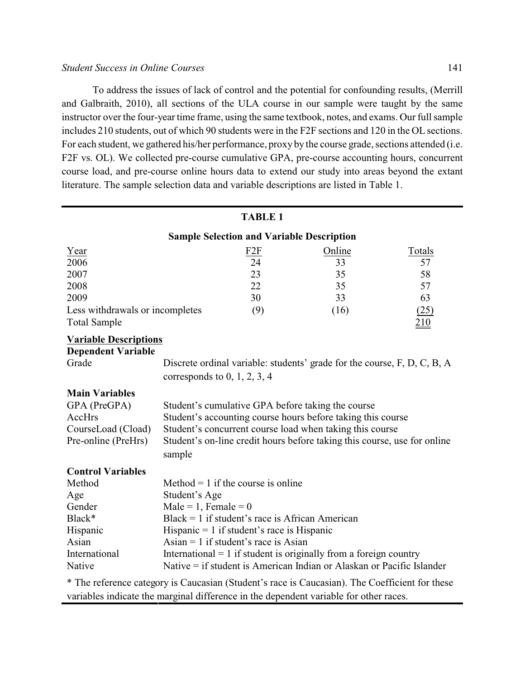#### *Student Success in Online Courses* 141

To address the issues of lack of control and the potential for confounding results, (Merrill and Galbraith, 2010), all sections of the ULA course in our sample were taught by the same instructor over the four-year time frame, using the same textbook, notes, and exams. Our full sample includes 210 students, out of which 90 students were in the F2F sections and 120 in the OL sections. For each student, we gathered his/her performance, proxy by the course grade, sections attended (i.e. F2F vs. OL). We collected pre-course cumulative GPA, pre-course accounting hours, concurrent course load, and pre-course online hours data to extend our study into areas beyond the extant literature. The sample selection data and variable descriptions are listed in Table 1.

| <b>TABLE 1</b>                                                                                 |                                                                          |                                    |                                                                          |        |  |
|------------------------------------------------------------------------------------------------|--------------------------------------------------------------------------|------------------------------------|--------------------------------------------------------------------------|--------|--|
| <b>Sample Selection and Variable Description</b>                                               |                                                                          |                                    |                                                                          |        |  |
| Year                                                                                           |                                                                          | F <sub>2F</sub>                    | Online                                                                   | Totals |  |
| 2006                                                                                           |                                                                          | 24                                 | 33                                                                       | 57     |  |
| 2007                                                                                           |                                                                          | 23                                 | 35                                                                       | 58     |  |
| 2008                                                                                           |                                                                          | 22                                 | 35                                                                       | 57     |  |
| 2009                                                                                           |                                                                          | 30                                 | 33                                                                       | 63     |  |
| Less withdrawals or incompletes                                                                |                                                                          | (9)                                | (16)                                                                     | (25)   |  |
| <b>Total Sample</b>                                                                            |                                                                          |                                    |                                                                          | 210    |  |
| <b>Variable Descriptions</b>                                                                   |                                                                          |                                    |                                                                          |        |  |
| <b>Dependent Variable</b>                                                                      |                                                                          |                                    |                                                                          |        |  |
| Grade                                                                                          | Discrete ordinal variable: students' grade for the course, F, D, C, B, A |                                    |                                                                          |        |  |
|                                                                                                | corresponds to $0, 1, 2, 3, 4$                                           |                                    |                                                                          |        |  |
| <b>Main Variables</b>                                                                          |                                                                          |                                    |                                                                          |        |  |
| GPA (PreGPA)                                                                                   |                                                                          |                                    | Student's cumulative GPA before taking the course                        |        |  |
| AccHrs                                                                                         | Student's accounting course hours before taking this course              |                                    |                                                                          |        |  |
| CourseLoad (Cload)                                                                             | Student's concurrent course load when taking this course                 |                                    |                                                                          |        |  |
| Pre-online (PreHrs)                                                                            |                                                                          |                                    | Student's on-line credit hours before taking this course, use for online |        |  |
|                                                                                                | sample                                                                   |                                    |                                                                          |        |  |
| <b>Control Variables</b>                                                                       |                                                                          |                                    |                                                                          |        |  |
| Method                                                                                         |                                                                          | Method = 1 if the course is online |                                                                          |        |  |
| Age                                                                                            | Student's Age                                                            |                                    |                                                                          |        |  |
| Gender                                                                                         | $Male = 1$ , Female = 0                                                  |                                    |                                                                          |        |  |
| Black*                                                                                         | $Black = 1$ if student's race is African American                        |                                    |                                                                          |        |  |
| Hispanic                                                                                       | Hispanic $= 1$ if student's race is Hispanic                             |                                    |                                                                          |        |  |
| Asian                                                                                          | Asian = 1 if student's race is Asian                                     |                                    |                                                                          |        |  |
| International                                                                                  | International $= 1$ if student is originally from a foreign country      |                                    |                                                                          |        |  |
| Native                                                                                         | Native = if student is American Indian or Alaskan or Pacific Islander    |                                    |                                                                          |        |  |
| * The reference category is Caucasian (Student's race is Caucasian). The Coefficient for these |                                                                          |                                    |                                                                          |        |  |

variables indicate the marginal difference in the dependent variable for other races.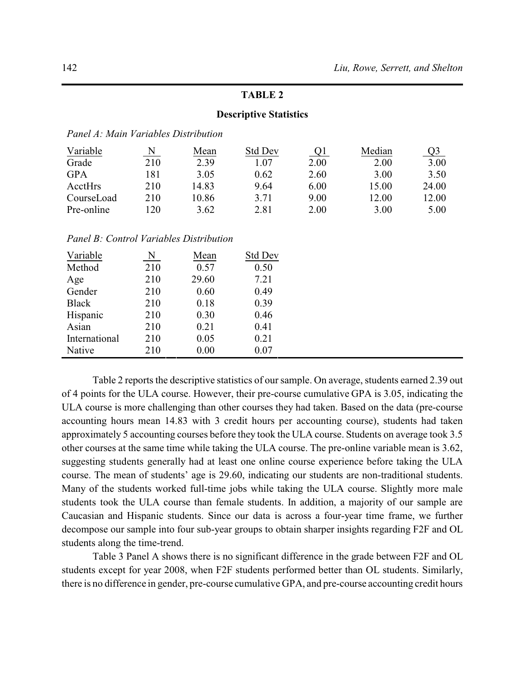#### **Descriptive Statistics**

| Variable   | N   | Mean  | Std Dev | <u>Q1</u> | Median | Q3    |
|------------|-----|-------|---------|-----------|--------|-------|
| Grade      | 210 | 2.39  | 1.07    | 2.00      | 2.00   | 3.00  |
| <b>GPA</b> | 181 | 3.05  | 0.62    | 2.60      | 3.00   | 3.50  |
| AcctHrs    | 210 | 14.83 | 9.64    | 6.00      | 15.00  | 24.00 |
| CourseLoad | 210 | 10.86 | 3.71    | 9.00      | 12.00  | 12.00 |
| Pre-online | 120 | 3.62  | 2.81    | 2.00      | 3.00   | 5.00  |

| Variable      | N   | Mean  | <b>Std Dev</b> |
|---------------|-----|-------|----------------|
| Method        | 210 | 0.57  | 0.50           |
| Age           | 210 | 29.60 | 7.21           |
| Gender        | 210 | 0.60  | 0.49           |
| <b>Black</b>  | 210 | 0.18  | 0.39           |
| Hispanic      | 210 | 0.30  | 0.46           |
| Asian         | 210 | 0.21  | 0.41           |
| International | 210 | 0.05  | 0.21           |
| Native        | 210 | 0.00  | 0.07           |

Table 2 reports the descriptive statistics of our sample. On average, students earned 2.39 out of 4 points for the ULA course. However, their pre-course cumulative GPA is 3.05, indicating the ULA course is more challenging than other courses they had taken. Based on the data (pre-course accounting hours mean 14.83 with 3 credit hours per accounting course), students had taken approximately 5 accounting courses before they took the ULA course. Students on average took 3.5 other courses at the same time while taking the ULA course. The pre-online variable mean is 3.62, suggesting students generally had at least one online course experience before taking the ULA course. The mean of students' age is 29.60, indicating our students are non-traditional students. Many of the students worked full-time jobs while taking the ULA course. Slightly more male students took the ULA course than female students. In addition, a majority of our sample are Caucasian and Hispanic students. Since our data is across a four-year time frame, we further decompose our sample into four sub-year groups to obtain sharper insights regarding F2F and OL students along the time-trend.

Table 3 Panel A shows there is no significant difference in the grade between F2F and OL students except for year 2008, when F2F students performed better than OL students. Similarly, there is no difference in gender, pre-course cumulative GPA, and pre-course accounting credit hours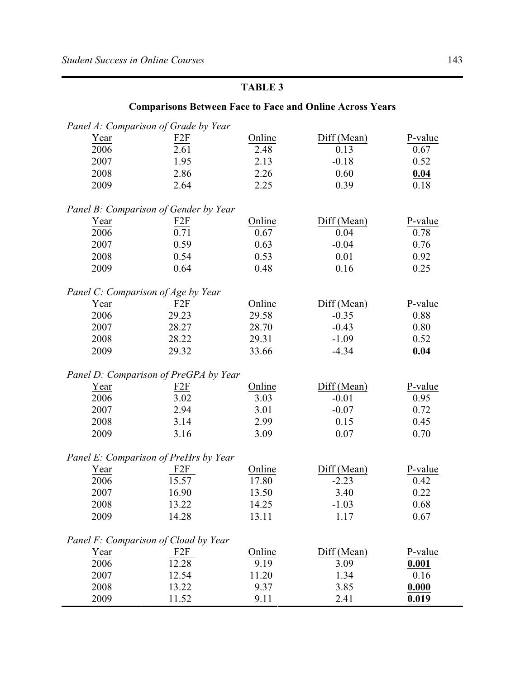# **Comparisons Between Face to Face and Online Across Years** *Panel A: Comparison of Grade by Year* Year F2F Online Diff (Mean) P-value 2006 2.61 2.48 0.13 0.67 2007 1.95 2.13 -0.18 0.52 2008 2.86 2.26 0.60 **0.04** 2009 2.64 2.25 0.39 0.18 *Panel B: Comparison of Gender by Year* Year F2F Online Diff (Mean) P-value 2006 0.71 0.67 0.04 0.78 2007 0.59 0.63 -0.04 0.76 2008 0.54 0.53 0.01 0.92 2009 0.64 0.48 0.16 0.25 *Panel C: Comparison of Age by Year* Year F2F Online Diff (Mean) P-value 2006 29.23 29.58 -0.35 0.88 2007 28.27 28.70 -0.43 0.80 2008 28.22 29.31 -1.09 0.52 2009 29.32 33.66 -4.34 **0.04** *Panel D: Comparison of PreGPA by Year* Year F2F Online Diff (Mean) P-value 2006 3.02 3.03 -0.01 0.95 2007 2.94 3.01 -0.07 0.72 2008 3.14 2.99 0.15 0.45 2009 3.16 3.09 0.07 0.70 *Panel E: Comparison of PreHrs by Year* Year F2F Online Diff (Mean) P-value 2006 15.57 17.80 -2.23 0.42 2007 16.90 13.50 3.40 0.22 2008 13.22 14.25 -1.03 0.68 2009 14.28 13.11 1.17 0.67

|             | Panel F: Comparison of Cload by Year |        |             |         |
|-------------|--------------------------------------|--------|-------------|---------|
| <u>Year</u> | F2F                                  | Online | Diff (Mean) | P-value |
| 2006        | 12.28                                | 9.19   | 3.09        | 0.001   |
| 2007        | 12.54                                | 11.20  | 1.34        | 0.16    |
| 2008        | 13.22                                | 9.37   | 3.85        | 0.000   |
| 2009        | 11 52                                | 911    | 2.41        | 0.019   |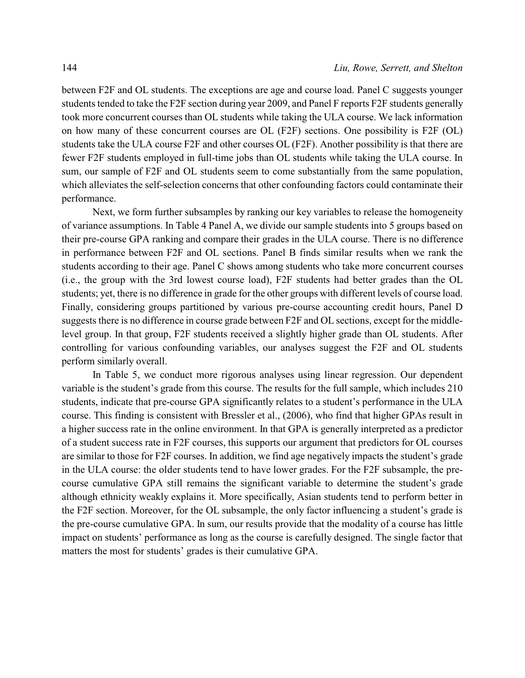between F2F and OL students. The exceptions are age and course load. Panel C suggests younger students tended to take the F2F section during year 2009, and Panel F reports F2F students generally took more concurrent courses than OL students while taking the ULA course. We lack information on how many of these concurrent courses are OL (F2F) sections. One possibility is F2F (OL) students take the ULA course F2F and other courses OL (F2F). Another possibility is that there are fewer F2F students employed in full-time jobs than OL students while taking the ULA course. In sum, our sample of F2F and OL students seem to come substantially from the same population, which alleviates the self-selection concerns that other confounding factors could contaminate their performance.

Next, we form further subsamples by ranking our key variables to release the homogeneity of variance assumptions. In Table 4 Panel A, we divide our sample students into 5 groups based on their pre-course GPA ranking and compare their grades in the ULA course. There is no difference in performance between F2F and OL sections. Panel B finds similar results when we rank the students according to their age. Panel C shows among students who take more concurrent courses (i.e., the group with the 3rd lowest course load), F2F students had better grades than the OL students; yet, there is no difference in grade for the other groups with different levels of course load. Finally, considering groups partitioned by various pre-course accounting credit hours, Panel D suggests there is no difference in course grade between F2F and OL sections, except for the middlelevel group. In that group, F2F students received a slightly higher grade than OL students. After controlling for various confounding variables, our analyses suggest the F2F and OL students perform similarly overall.

In Table 5, we conduct more rigorous analyses using linear regression. Our dependent variable is the student's grade from this course. The results for the full sample, which includes 210 students, indicate that pre-course GPA significantly relates to a student's performance in the ULA course. This finding is consistent with Bressler et al., (2006), who find that higher GPAs result in a higher success rate in the online environment. In that GPA is generally interpreted as a predictor of a student success rate in F2F courses, this supports our argument that predictors for OL courses are similar to those for F2F courses. In addition, we find age negatively impacts the student's grade in the ULA course: the older students tend to have lower grades. For the F2F subsample, the precourse cumulative GPA still remains the significant variable to determine the student's grade although ethnicity weakly explains it. More specifically, Asian students tend to perform better in the F2F section. Moreover, for the OL subsample, the only factor influencing a student's grade is the pre-course cumulative GPA. In sum, our results provide that the modality of a course has little impact on students' performance as long as the course is carefully designed. The single factor that matters the most for students' grades is their cumulative GPA.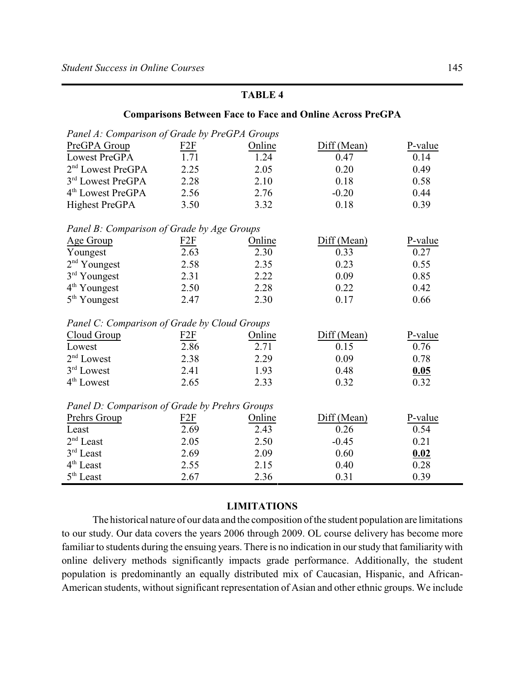| <b>Comparisons Between Face to Face and Online Across PreGPA</b> |                 |        |             |         |  |
|------------------------------------------------------------------|-----------------|--------|-------------|---------|--|
| Panel A: Comparison of Grade by PreGPA Groups                    |                 |        |             |         |  |
| PreGPA Group                                                     | F <sub>2F</sub> | Online | Diff (Mean) | P-value |  |
| Lowest PreGPA                                                    | 1.71            | 1.24   | 0.47        | 0.14    |  |
| 2 <sup>nd</sup> Lowest PreGPA                                    | 2.25            | 2.05   | 0.20        | 0.49    |  |
| 3 <sup>rd</sup> Lowest PreGPA                                    | 2.28            | 2.10   | 0.18        | 0.58    |  |
| 4 <sup>th</sup> Lowest PreGPA                                    | 2.56            | 2.76   | $-0.20$     | 0.44    |  |
| <b>Highest PreGPA</b>                                            | 3.50            | 3.32   | 0.18        | 0.39    |  |
| Panel B: Comparison of Grade by Age Groups                       |                 |        |             |         |  |
| Age Group                                                        | F2F             | Online | Diff (Mean) | P-value |  |
| Youngest                                                         | 2.63            | 2.30   | 0.33        | 0.27    |  |
| 2 <sup>nd</sup> Youngest                                         | 2.58            | 2.35   | 0.23        | 0.55    |  |
| 3rd Youngest                                                     | 2.31            | 2.22   | 0.09        | 0.85    |  |
| $4th$ Youngest                                                   | 2.50            | 2.28   | 0.22        | 0.42    |  |
| 5 <sup>th</sup> Youngest                                         | 2.47            | 2.30   | 0.17        | 0.66    |  |
| Panel C: Comparison of Grade by Cloud Groups                     |                 |        |             |         |  |
| Cloud Group                                                      | F2F             | Online | Diff (Mean) | P-value |  |
| Lowest                                                           | 2.86            | 2.71   | 0.15        | 0.76    |  |
| $2nd$ Lowest                                                     | 2.38            | 2.29   | 0.09        | 0.78    |  |
| 3rd Lowest                                                       | 2.41            | 1.93   | 0.48        | 0.05    |  |
| 4 <sup>th</sup> Lowest                                           | 2.65            | 2.33   | 0.32        | 0.32    |  |
| Panel D: Comparison of Grade by Prehrs Groups                    |                 |        |             |         |  |
| Prehrs Group                                                     | F <sub>2F</sub> | Online | Diff (Mean) | P-value |  |
| Least                                                            | 2.69            | 2.43   | 0.26        | 0.54    |  |
| $2nd$ Least                                                      | 2.05            | 2.50   | $-0.45$     | 0.21    |  |
| 3rd Least                                                        | 2.69            | 2.09   | 0.60        | 0.02    |  |
| 4 <sup>th</sup> Least                                            | 2.55            | 2.15   | 0.40        | 0.28    |  |
| $5^{\text{th}}$ Least                                            | 2.67            | 2.36   | 0.31        | 0.39    |  |

# **LIMITATIONS**

The historical nature of our data and the composition of the student population are limitations to our study. Our data covers the years 2006 through 2009. OL course delivery has become more familiar to students during the ensuing years. There is no indication in our study that familiarity with online delivery methods significantly impacts grade performance. Additionally, the student population is predominantly an equally distributed mix of Caucasian, Hispanic, and African-American students, without significant representation of Asian and other ethnic groups. We include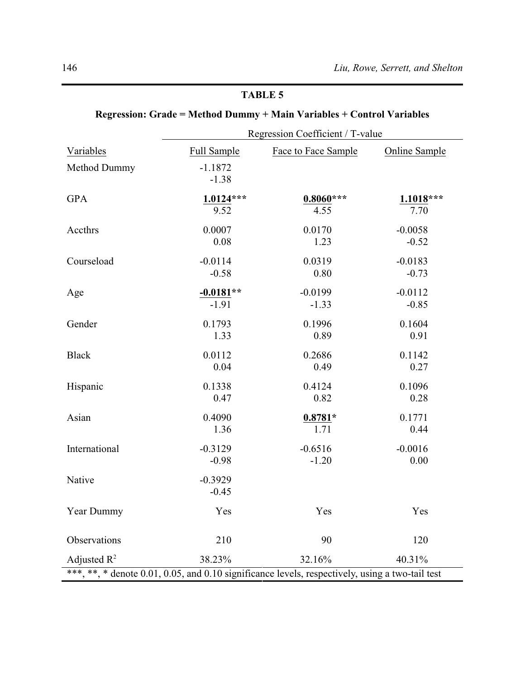|                                                                                                 | Regression Coefficient / T-value |                     |                      |  |  |
|-------------------------------------------------------------------------------------------------|----------------------------------|---------------------|----------------------|--|--|
| Variables                                                                                       | <b>Full Sample</b>               | Face to Face Sample | <b>Online Sample</b> |  |  |
| Method Dummy                                                                                    | $-1.1872$<br>$-1.38$             |                     |                      |  |  |
| <b>GPA</b>                                                                                      | $1.0124***$                      | $0.8060***$         | $1.1018***$          |  |  |
|                                                                                                 | 9.52                             | 4.55                | 7.70                 |  |  |
| Accthrs                                                                                         | 0.0007                           | 0.0170              | $-0.0058$            |  |  |
|                                                                                                 | 0.08                             | 1.23                | $-0.52$              |  |  |
| Courseload                                                                                      | $-0.0114$                        | 0.0319              | $-0.0183$            |  |  |
|                                                                                                 | $-0.58$                          | 0.80                | $-0.73$              |  |  |
| Age                                                                                             | $-0.0181**$                      | $-0.0199$           | $-0.0112$            |  |  |
|                                                                                                 | $-1.91$                          | $-1.33$             | $-0.85$              |  |  |
| Gender                                                                                          | 0.1793                           | 0.1996              | 0.1604               |  |  |
|                                                                                                 | 1.33                             | 0.89                | 0.91                 |  |  |
| <b>Black</b>                                                                                    | 0.0112                           | 0.2686              | 0.1142               |  |  |
|                                                                                                 | 0.04                             | 0.49                | 0.27                 |  |  |
| Hispanic                                                                                        | 0.1338                           | 0.4124              | 0.1096               |  |  |
|                                                                                                 | 0.47                             | 0.82                | 0.28                 |  |  |
| Asian                                                                                           | 0.4090                           | $0.8781*$           | 0.1771               |  |  |
|                                                                                                 | 1.36                             | 1.71                | 0.44                 |  |  |
| International                                                                                   | $-0.3129$                        | $-0.6516$           | $-0.0016$            |  |  |
|                                                                                                 | $-0.98$                          | $-1.20$             | 0.00                 |  |  |
| Native                                                                                          | $-0.3929$<br>$-0.45$             |                     |                      |  |  |
| Year Dummy                                                                                      | Yes                              | Yes                 | Yes                  |  |  |
| Observations                                                                                    | 210                              | 90                  | 120                  |  |  |
| Adjusted $R^2$                                                                                  | 38.23%                           | 32.16%              | 40.31%               |  |  |
| ***, **, * denote 0.01, 0.05, and 0.10 significance levels, respectively, using a two-tail test |                                  |                     |                      |  |  |

# **Regression: Grade = Method Dummy + Main Variables + Control Variables**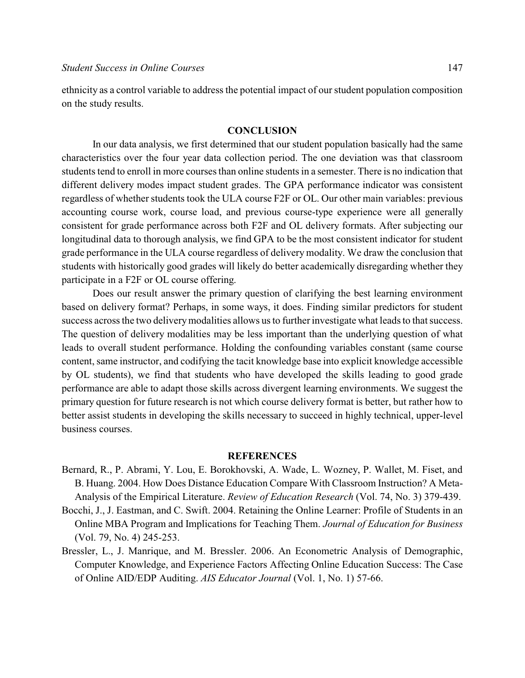ethnicity as a control variable to address the potential impact of our student population composition on the study results.

#### **CONCLUSION**

In our data analysis, we first determined that our student population basically had the same characteristics over the four year data collection period. The one deviation was that classroom students tend to enroll in more courses than online students in a semester. There is no indication that different delivery modes impact student grades. The GPA performance indicator was consistent regardless of whether students took the ULA course F2F or OL. Our other main variables: previous accounting course work, course load, and previous course-type experience were all generally consistent for grade performance across both F2F and OL delivery formats. After subjecting our longitudinal data to thorough analysis, we find GPA to be the most consistent indicator for student grade performance in the ULA course regardless of delivery modality. We draw the conclusion that students with historically good grades will likely do better academically disregarding whether they participate in a F2F or OL course offering.

Does our result answer the primary question of clarifying the best learning environment based on delivery format? Perhaps, in some ways, it does. Finding similar predictors for student success across the two delivery modalities allows us to further investigate what leads to that success. The question of delivery modalities may be less important than the underlying question of what leads to overall student performance. Holding the confounding variables constant (same course content, same instructor, and codifying the tacit knowledge base into explicit knowledge accessible by OL students), we find that students who have developed the skills leading to good grade performance are able to adapt those skills across divergent learning environments. We suggest the primary question for future research is not which course delivery format is better, but rather how to better assist students in developing the skills necessary to succeed in highly technical, upper-level business courses.

#### **REFERENCES**

- Bernard, R., P. Abrami, Y. Lou, E. Borokhovski, A. Wade, L. Wozney, P. Wallet, M. Fiset, and B. Huang. 2004. How Does Distance Education Compare With Classroom Instruction? A Meta-Analysis of the Empirical Literature. *Review of Education Research* (Vol. 74, No. 3) 379-439.
- Bocchi, J., J. Eastman, and C. Swift. 2004. Retaining the Online Learner: Profile of Students in an Online MBA Program and Implications for Teaching Them. *Journal of Education for Business* (Vol. 79, No. 4) 245-253.
- Bressler, L., J. Manrique, and M. Bressler. 2006. An Econometric Analysis of Demographic, Computer Knowledge, and Experience Factors Affecting Online Education Success: The Case of Online AID/EDP Auditing. *AIS Educator Journal* (Vol. 1, No. 1) 57-66.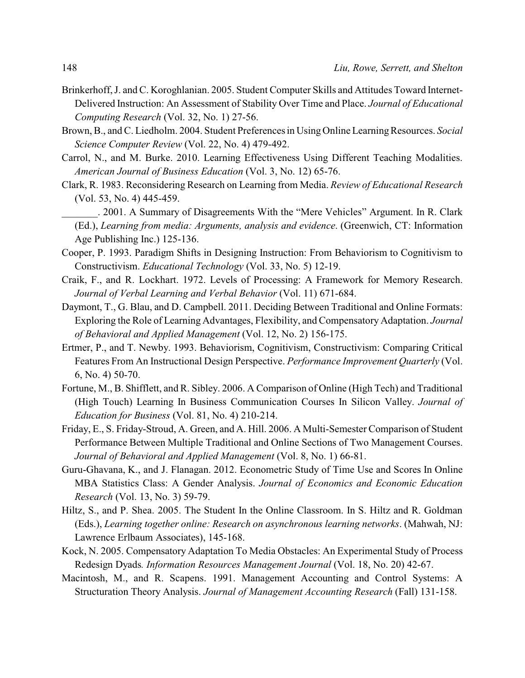- Brinkerhoff, J. and C. Koroghlanian. 2005. Student Computer Skills and Attitudes Toward Internet-Delivered Instruction: An Assessment of Stability Over Time and Place. *Journal of Educational Computing Research* (Vol. 32, No. 1) 27-56.
- Brown, B., and C. Liedholm. 2004. Student Preferences in Using Online LearningResources. *Social Science Computer Review* (Vol. 22, No. 4) 479-492.
- Carrol, N., and M. Burke. 2010. Learning Effectiveness Using Different Teaching Modalities. *American Journal of Business Education* (Vol. 3, No. 12) 65-76.
- Clark, R. 1983. Reconsidering Research on Learning from Media. *Review of Educational Research* (Vol. 53, No. 4) 445-459.
	- \_\_\_\_\_\_\_. 2001. A Summary of Disagreements With the "Mere Vehicles" Argument. In R. Clark (Ed.), *Learning from media: Arguments, analysis and evidence*. (Greenwich, CT: Information Age Publishing Inc.) 125-136.
- Cooper, P. 1993. Paradigm Shifts in Designing Instruction: From Behaviorism to Cognitivism to Constructivism. *Educational Technology* (Vol. 33, No. 5) 12-19.
- Craik, F., and R. Lockhart. 1972. Levels of Processing: A Framework for Memory Research. *Journal of Verbal Learning and Verbal Behavior* (Vol. 11) 671-684.
- Daymont, T., G. Blau, and D. Campbell. 2011. Deciding Between Traditional and Online Formats: Exploring the Role of Learning Advantages, Flexibility, and Compensatory Adaptation. *Journal of Behavioral and Applied Management* (Vol. 12, No. 2) 156-175.
- Ertmer, P., and T. Newby. 1993. Behaviorism, Cognitivism, Constructivism: Comparing Critical Features From An Instructional Design Perspective. *Performance Improvement Quarterly* (Vol. 6, No. 4) 50-70.
- Fortune, M., B. Shifflett, and R. Sibley. 2006. A Comparison of Online (High Tech) and Traditional (High Touch) Learning In Business Communication Courses In Silicon Valley. *Journal of Education for Business* (Vol. 81, No. 4) 210-214.
- Friday, E., S. Friday-Stroud, A. Green, and A. Hill. 2006. A Multi-Semester Comparison of Student Performance Between Multiple Traditional and Online Sections of Two Management Courses. *Journal of Behavioral and Applied Management* (Vol. 8, No. 1) 66-81.
- Guru-Ghavana, K., and J. Flanagan. 2012. Econometric Study of Time Use and Scores In Online MBA Statistics Class: A Gender Analysis. *Journal of Economics and Economic Education Research* (Vol. 13, No. 3) 59-79.
- Hiltz, S., and P. Shea. 2005. The Student In the Online Classroom. In S. Hiltz and R. Goldman (Eds.), *Learning together online: Research on asynchronous learning networks*. (Mahwah, NJ: Lawrence Erlbaum Associates), 145-168.
- Kock, N. 2005. Compensatory Adaptation To Media Obstacles: An Experimental Study of Process Redesign Dyads*. Information Resources Management Journal* (Vol. 18, No. 20) 42-67.
- Macintosh, M., and R. Scapens. 1991. Management Accounting and Control Systems: A Structuration Theory Analysis. *Journal of Management Accounting Research* (Fall) 131-158.